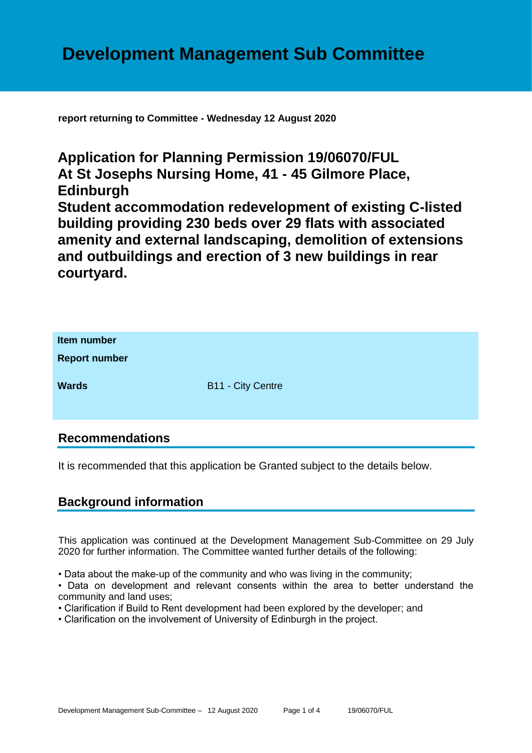**report returning to Committee - Wednesday 12 August 2020**

**Application for Planning Permission 19/06070/FUL At St Josephs Nursing Home, 41 - 45 Gilmore Place, Edinburgh Student accommodation redevelopment of existing C-listed building providing 230 beds over 29 flats with associated amenity and external landscaping, demolition of extensions and outbuildings and erection of 3 new buildings in rear courtyard.**

| Item number<br><b>Report number</b> |                   |
|-------------------------------------|-------------------|
| <b>Wards</b>                        | B11 - City Centre |

# **Recommendations**

It is recommended that this application be Granted subject to the details below.

# **Background information**

This application was continued at the Development Management Sub-Committee on 29 July 2020 for further information. The Committee wanted further details of the following:

• Data about the make-up of the community and who was living in the community;

• Data on development and relevant consents within the area to better understand the community and land uses;

- Clarification if Build to Rent development had been explored by the developer; and
- Clarification on the involvement of University of Edinburgh in the project.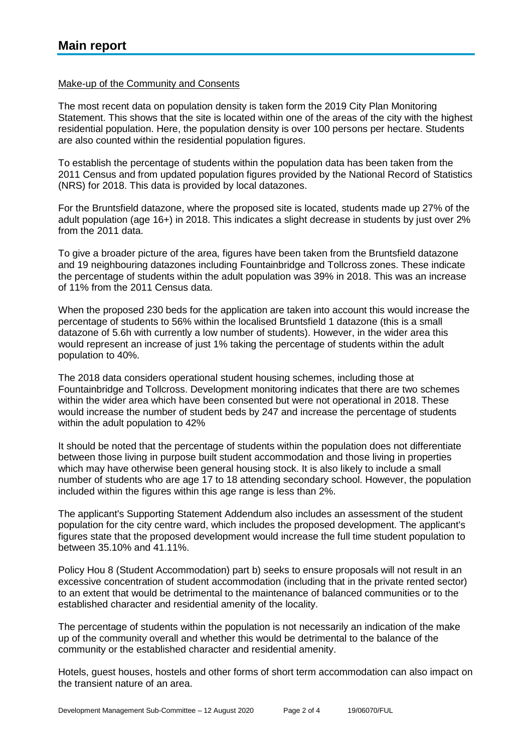### Make-up of the Community and Consents

The most recent data on population density is taken form the 2019 City Plan Monitoring Statement. This shows that the site is located within one of the areas of the city with the highest residential population. Here, the population density is over 100 persons per hectare. Students are also counted within the residential population figures.

To establish the percentage of students within the population data has been taken from the 2011 Census and from updated population figures provided by the National Record of Statistics (NRS) for 2018. This data is provided by local datazones.

For the Bruntsfield datazone, where the proposed site is located, students made up 27% of the adult population (age 16+) in 2018. This indicates a slight decrease in students by just over 2% from the 2011 data.

To give a broader picture of the area, figures have been taken from the Bruntsfield datazone and 19 neighbouring datazones including Fountainbridge and Tollcross zones. These indicate the percentage of students within the adult population was 39% in 2018. This was an increase of 11% from the 2011 Census data.

When the proposed 230 beds for the application are taken into account this would increase the percentage of students to 56% within the localised Bruntsfield 1 datazone (this is a small datazone of 5.6h with currently a low number of students). However, in the wider area this would represent an increase of just 1% taking the percentage of students within the adult population to 40%.

The 2018 data considers operational student housing schemes, including those at Fountainbridge and Tollcross. Development monitoring indicates that there are two schemes within the wider area which have been consented but were not operational in 2018. These would increase the number of student beds by 247 and increase the percentage of students within the adult population to 42%

It should be noted that the percentage of students within the population does not differentiate between those living in purpose built student accommodation and those living in properties which may have otherwise been general housing stock. It is also likely to include a small number of students who are age 17 to 18 attending secondary school. However, the population included within the figures within this age range is less than 2%.

The applicant's Supporting Statement Addendum also includes an assessment of the student population for the city centre ward, which includes the proposed development. The applicant's figures state that the proposed development would increase the full time student population to between 35.10% and 41.11%.

Policy Hou 8 (Student Accommodation) part b) seeks to ensure proposals will not result in an excessive concentration of student accommodation (including that in the private rented sector) to an extent that would be detrimental to the maintenance of balanced communities or to the established character and residential amenity of the locality.

The percentage of students within the population is not necessarily an indication of the make up of the community overall and whether this would be detrimental to the balance of the community or the established character and residential amenity.

Hotels, guest houses, hostels and other forms of short term accommodation can also impact on the transient nature of an area.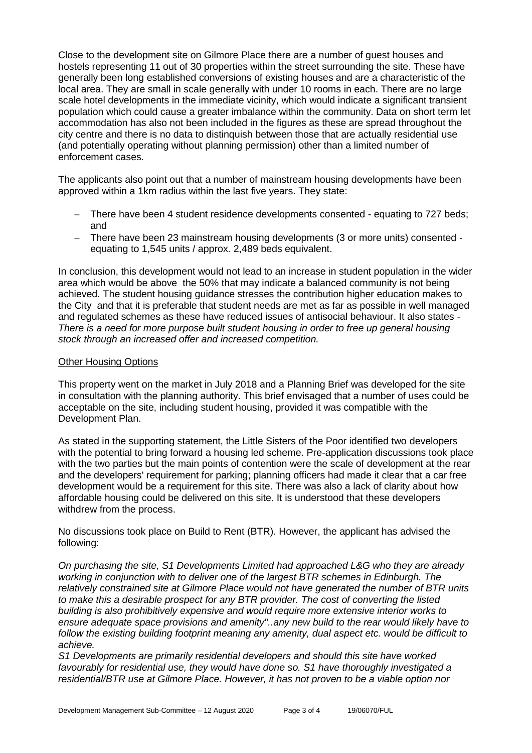Close to the development site on Gilmore Place there are a number of guest houses and hostels representing 11 out of 30 properties within the street surrounding the site. These have generally been long established conversions of existing houses and are a characteristic of the local area. They are small in scale generally with under 10 rooms in each. There are no large scale hotel developments in the immediate vicinity, which would indicate a significant transient population which could cause a greater imbalance within the community. Data on short term let accommodation has also not been included in the figures as these are spread throughout the city centre and there is no data to distinquish between those that are actually residential use (and potentially operating without planning permission) other than a limited number of enforcement cases.

The applicants also point out that a number of mainstream housing developments have been approved within a 1km radius within the last five years. They state:

- − There have been 4 student residence developments consented equating to 727 beds; and
- − There have been 23 mainstream housing developments (3 or more units) consented equating to 1,545 units / approx. 2,489 beds equivalent.

In conclusion, this development would not lead to an increase in student population in the wider area which would be above the 50% that may indicate a balanced community is not being achieved. The student housing guidance stresses the contribution higher education makes to the City and that it is preferable that student needs are met as far as possible in well managed and regulated schemes as these have reduced issues of antisocial behaviour. It also states - *There is a need for more purpose built student housing in order to free up general housing stock through an increased offer and increased competition.*

#### Other Housing Options

This property went on the market in July 2018 and a Planning Brief was developed for the site in consultation with the planning authority. This brief envisaged that a number of uses could be acceptable on the site, including student housing, provided it was compatible with the Development Plan.

As stated in the supporting statement, the Little Sisters of the Poor identified two developers with the potential to bring forward a housing led scheme. Pre-application discussions took place with the two parties but the main points of contention were the scale of development at the rear and the developers' requirement for parking; planning officers had made it clear that a car free development would be a requirement for this site. There was also a lack of clarity about how affordable housing could be delivered on this site. It is understood that these developers withdrew from the process.

No discussions took place on Build to Rent (BTR). However, the applicant has advised the following:

*On purchasing the site, S1 Developments Limited had approached L&G who they are already working in conjunction with to deliver one of the largest BTR schemes in Edinburgh. The relatively constrained site at Gilmore Place would not have generated the number of BTR units to make this a desirable prospect for any BTR provider. The cost of converting the listed building is also prohibitively expensive and would require more extensive interior works to ensure adequate space provisions and amenity''..any new build to the rear would likely have to follow the existing building footprint meaning any amenity, dual aspect etc. would be difficult to achieve.*

*S1 Developments are primarily residential developers and should this site have worked favourably for residential use, they would have done so. S1 have thoroughly investigated a residential/BTR use at Gilmore Place. However, it has not proven to be a viable option nor*